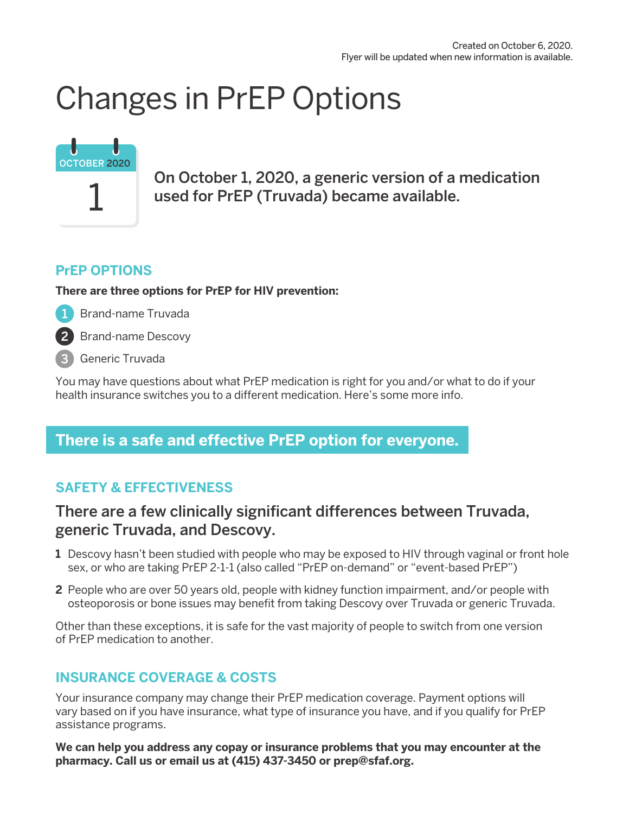## Changes in PrEP Options

# 1 OCTOBER 2020

On October 1, 2020, a generic version of a medication used for PrEP (Truvada) became available.

#### **PrEP OPTIONS**

**There are three options for PrEP for HIV prevention:** 

Brand-name Truvada  $\vert 1 \rangle$ 

Brand-name Descovy

3 Generic Truvada

You may have questions about what PrEP medication is right for you and/or what to do if your health insurance switches you to a different medication. Here's some more info.

## **There is a safe and effective PrEP option for everyone.**

## **SAFETY & EFFECTIVENESS**

### There are a few clinically significant differences between Truvada, generic Truvada, and Descovy.

- **1** Descovy hasn't been studied with people who may be exposed to HIV through vaginal or front hole sex, or who are taking PrEP 2-1-1 (also called "PrEP on-demand" or "event-based PrEP")
- **2** People who are over 50 years old, people with kidney function impairment, and/or people with osteoporosis or bone issues may benefit from taking Descovy over Truvada or generic Truvada.

Other than these exceptions, it is safe for the vast majority of people to switch from one version of PrEP medication to another.

#### **INSURANCE COVERAGE & COSTS**

Your insurance company may change their PrEP medication coverage. Payment options will vary based on if you have insurance, what type of insurance you have, and if you qualify for PrEP assistance programs.

**We can help you address any copay or insurance problems that you may encounter at the pharmacy. Call us or email us at (415) 437-3450 or prep@sfaf.org.**